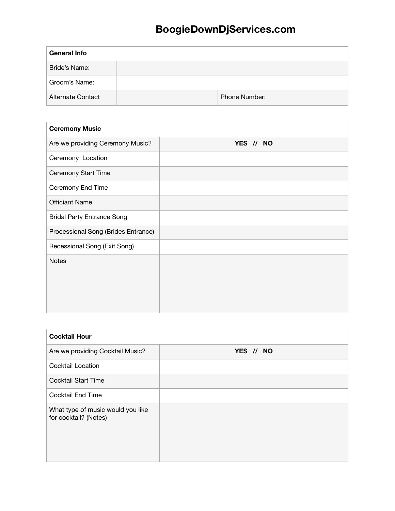| <b>General Info</b> |               |  |
|---------------------|---------------|--|
| Bride's Name:       |               |  |
| Groom's Name:       |               |  |
| Alternate Contact   | Phone Number: |  |

| <b>Ceremony Music</b>               |           |
|-------------------------------------|-----------|
| Are we providing Ceremony Music?    | YES // NO |
| Ceremony Location                   |           |
| Ceremony Start Time                 |           |
| Ceremony End Time                   |           |
| <b>Officiant Name</b>               |           |
| <b>Bridal Party Entrance Song</b>   |           |
| Processional Song (Brides Entrance) |           |
| Recessional Song (Exit Song)        |           |
| <b>Notes</b>                        |           |
|                                     |           |
|                                     |           |
|                                     |           |

| <b>Cocktail Hour</b>                                       |           |  |
|------------------------------------------------------------|-----------|--|
| Are we providing Cocktail Music?                           | YES // NO |  |
| <b>Cocktail Location</b>                                   |           |  |
| <b>Cocktail Start Time</b>                                 |           |  |
| <b>Cocktail End Time</b>                                   |           |  |
| What type of music would you like<br>for cocktail? (Notes) |           |  |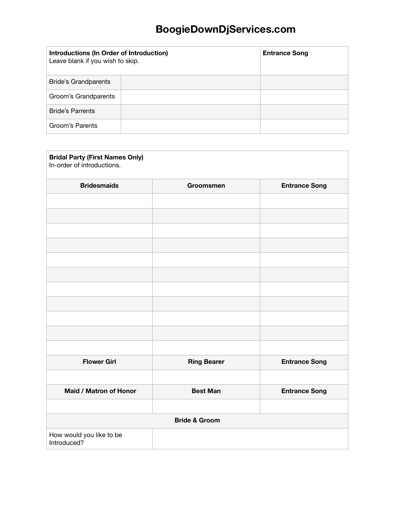| Introductions (In Order of Introduction)<br>Leave blank if you wish to skip. | <b>Entrance Song</b> |
|------------------------------------------------------------------------------|----------------------|
| <b>Bride's Grandparents</b>                                                  |                      |
| Groom's Grandparents                                                         |                      |
| <b>Bride's Parrents</b>                                                      |                      |
| Groom's Parents                                                              |                      |

| <b>Bridal Party (First Names Only)</b><br>In-order of introductions. |                    |                      |
|----------------------------------------------------------------------|--------------------|----------------------|
| <b>Bridesmaids</b>                                                   | Groomsmen          | <b>Entrance Song</b> |
|                                                                      |                    |                      |
|                                                                      |                    |                      |
|                                                                      |                    |                      |
|                                                                      |                    |                      |
|                                                                      |                    |                      |
|                                                                      |                    |                      |
|                                                                      |                    |                      |
|                                                                      |                    |                      |
|                                                                      |                    |                      |
|                                                                      |                    |                      |
|                                                                      |                    |                      |
| <b>Flower Girl</b>                                                   | <b>Ring Bearer</b> | <b>Entrance Song</b> |
|                                                                      |                    |                      |
| Maid / Matron of Honor                                               | <b>Best Man</b>    | <b>Entrance Song</b> |
|                                                                      |                    |                      |
| <b>Bride &amp; Groom</b>                                             |                    |                      |
| How would you like to be<br>Introduced?                              |                    |                      |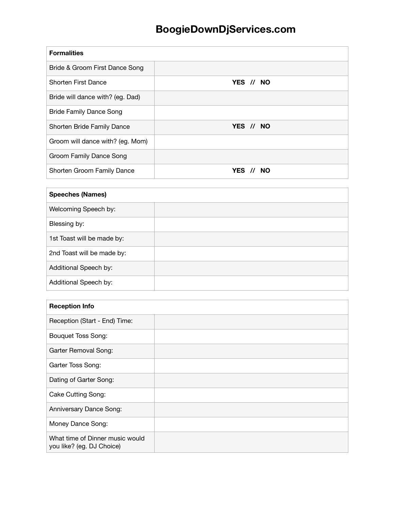| <b>Formalities</b>               |           |
|----------------------------------|-----------|
| Bride & Groom First Dance Song   |           |
| <b>Shorten First Dance</b>       | YES // NO |
| Bride will dance with? (eg. Dad) |           |
| <b>Bride Family Dance Song</b>   |           |
| Shorten Bride Family Dance       | YES // NO |
| Groom will dance with? (eg. Mom) |           |
| Groom Family Dance Song          |           |
| Shorten Groom Family Dance       | YES // NO |

| <b>Speeches (Names)</b>    |  |
|----------------------------|--|
| Welcoming Speech by:       |  |
| Blessing by:               |  |
| 1st Toast will be made by: |  |
| 2nd Toast will be made by: |  |
| Additional Speech by:      |  |
| Additional Speech by:      |  |

| <b>Reception Info</b>                                        |  |
|--------------------------------------------------------------|--|
| Reception (Start - End) Time:                                |  |
| <b>Bouquet Toss Song:</b>                                    |  |
| Garter Removal Song:                                         |  |
| Garter Toss Song:                                            |  |
| Dating of Garter Song:                                       |  |
| Cake Cutting Song:                                           |  |
| Anniversary Dance Song:                                      |  |
| Money Dance Song:                                            |  |
| What time of Dinner music would<br>you like? (eg. DJ Choice) |  |